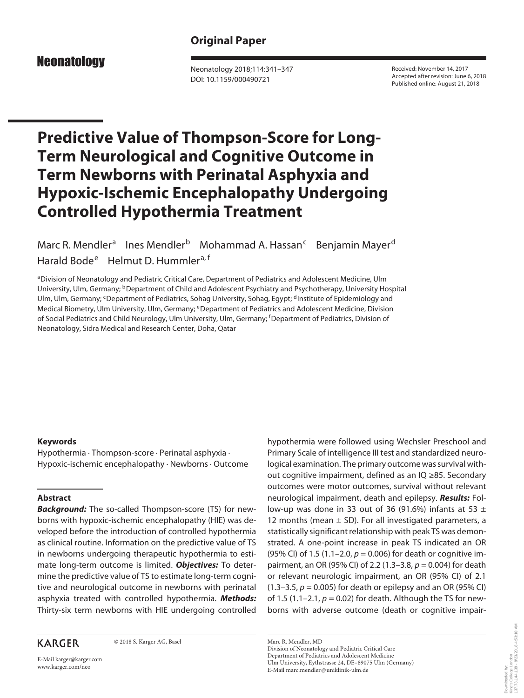## **Original Paper**

# **Neonatology**

Neonatology 2018;114:341–347 DOI: 10.1159/000490721

Received: November 14, 2017 Accepted after revision: June 6, 2018 Published online: August 21, 2018

# **Predictive Value of Thompson-Score for Long-Term Neurological and Cognitive Outcome in Term Newborns with Perinatal Asphyxia and Hypoxic-Ischemic Encephalopathy Undergoing Controlled Hypothermia Treatment**

Marc R. Mendler<sup>a</sup> Ines Mendler<sup>b</sup> Mohammad A. Hassan<sup>c</sup> Benjamin Mayer<sup>d</sup> Harald Bode<sup>e</sup> Helmut D. Hummler<sup>a, f</sup>

aDivision of Neonatology and Pediatric Critical Care, Department of Pediatrics and Adolescent Medicine, Ulm University, Ulm, Germany; <sup>b</sup>Department of Child and Adolescent Psychiatry and Psychotherapy, University Hospital Ulm, Ulm, Germany; <sup>c</sup>Department of Pediatrics, Sohag University, Sohag, Egypt; <sup>d</sup>Institute of Epidemiology and Medical Biometry, Ulm University, Ulm, Germany; <sup>e</sup>Department of Pediatrics and Adolescent Medicine, Division of Social Pediatrics and Child Neurology, Ulm University, Ulm, Germany; <sup>f</sup> Department of Pediatrics, Division of Neonatology, Sidra Medical and Research Center, Doha, Qatar

#### **Keywords**

Hypothermia · Thompson-score · Perinatal asphyxia · Hypoxic-ischemic encephalopathy · Newborns · Outcome

#### **Abstract**

*Background:* The so-called Thompson-score (TS) for newborns with hypoxic-ischemic encephalopathy (HIE) was developed before the introduction of controlled hypothermia as clinical routine. Information on the predictive value of TS in newborns undergoing therapeutic hypothermia to estimate long-term outcome is limited. *Objectives:* To determine the predictive value of TS to estimate long-term cognitive and neurological outcome in newborns with perinatal asphyxia treated with controlled hypothermia. *Methods:* Thirty-six term newborns with HIE undergoing controlled

### **KARGER**

© 2018 S. Karger AG, Basel

E-Mail karger@karger.com www.karger.com/neo

hypothermia were followed using Wechsler Preschool and Primary Scale of intelligence III test and standardized neurological examination. The primary outcome was survival without cognitive impairment, defined as an IQ ≥85. Secondary outcomes were motor outcomes, survival without relevant neurological impairment, death and epilepsy. *Results:* Follow-up was done in 33 out of 36 (91.6%) infants at 53  $\pm$ 12 months (mean  $\pm$  SD). For all investigated parameters, a statistically significant relationship with peak TS was demonstrated. A one-point increase in peak TS indicated an OR (95% CI) of 1.5 (1.1–2.0, *p* = 0.006) for death or cognitive impairment, an OR (95% CI) of 2.2 (1.3–3.8, *p* = 0.004) for death or relevant neurologic impairment, an OR (95% CI) of 2.1 (1.3–3.5, *p* = 0.005) for death or epilepsy and an OR (95% CI) of 1.5 (1.1–2.1, *p* = 0.02) for death. Although the TS for newborns with adverse outcome (death or cognitive impair-

Marc R. Mendler, MD Division of Neonatology and Pediatric Critical Care Department of Pediatrics and Adolescent Medicine Ulm University, Eythstrasse 24, DE–89075 Ulm (Germany) E-Mail marc.mendler@uniklinik-ulm.de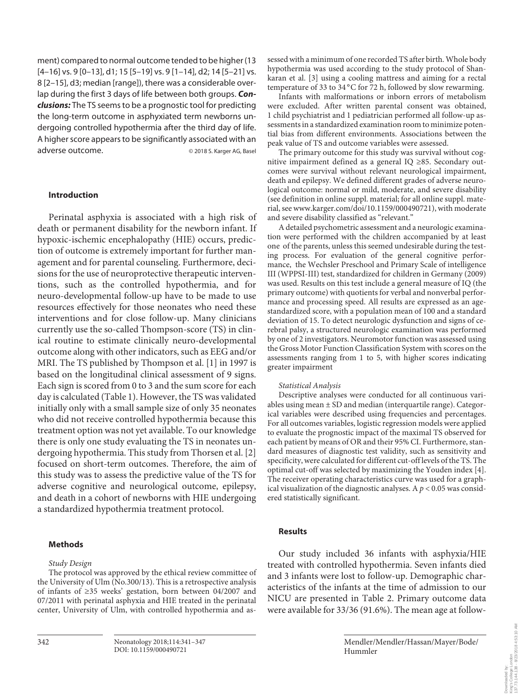ment) compared to normal outcome tended to be higher (13 [4–16] vs. 9 [0–13], d1; 15 [5–19] vs. 9 [1–14], d2; 14 [5–21] vs. 8 [2–15], d3; median [range]), there was a considerable overlap during the first 3 days of life between both groups. *Conclusions:* The TS seems to be a prognostic tool for predicting the long-term outcome in asphyxiated term newborns undergoing controlled hypothermia after the third day of life. A higher score appears to be significantly associated with an adverse outcome. 
and a 2018 S. Karger AG, Basel

#### **Introduction**

Perinatal asphyxia is associated with a high risk of death or permanent disability for the newborn infant. If hypoxic-ischemic encephalopathy (HIE) occurs, prediction of outcome is extremely important for further management and for parental counseling. Furthermore, decisions for the use of neuroprotective therapeutic interventions, such as the controlled hypothermia, and for neuro-developmental follow-up have to be made to use resources effectively for those neonates who need these interventions and for close follow-up. Many clinicians currently use the so-called Thompson-score (TS) in clinical routine to estimate clinically neuro-developmental outcome along with other indicators, such as EEG and/or MRI. The TS published by Thompson et al. [1] in 1997 is based on the longitudinal clinical assessment of 9 signs. Each sign is scored from 0 to 3 and the sum score for each day is calculated (Table 1). However, the TS was validated initially only with a small sample size of only 35 neonates who did not receive controlled hypothermia because this treatment option was not yet available. To our knowledge there is only one study evaluating the TS in neonates undergoing hypothermia. This study from Thorsen et al. [2] focused on short-term outcomes. Therefore, the aim of this study was to assess the predictive value of the TS for adverse cognitive and neurological outcome, epilepsy, and death in a cohort of newborns with HIE undergoing a standardized hypothermia treatment protocol.

#### **Methods**

#### *Study Design*

The protocol was approved by the ethical review committee of the University of Ulm (No.300/13). This is a retrospective analysis of infants of ≥35 weeks' gestation, born between 04/2007 and 07/2011 with perinatal asphyxia and HIE treated in the perinatal center, University of Ulm, with controlled hypothermia and assessed with a minimum of one recorded TS after birth. Whole body hypothermia was used according to the study protocol of Shankaran et al. [3] using a cooling mattress and aiming for a rectal temperature of 33 to 34  $^{\circ}$ C for 72 h, followed by slow rewarming.

Infants with malformations or inborn errors of metabolism were excluded. After written parental consent was obtained, 1 child psychiatrist and 1 pediatrician performed all follow-up assessments in a standardized examination room to minimize potential bias from different environments. Associations between the peak value of TS and outcome variables were assessed.

The primary outcome for this study was survival without cognitive impairment defined as a general IQ ≥85. Secondary outcomes were survival without relevant neurological impairment, death and epilepsy. We defined different grades of adverse neurological outcome: normal or mild, moderate, and severe disability (see definition in online suppl. material; for all online suppl. material, see www.karger.com/doi/10.1159/000490721), with moderate and severe disability classified as "relevant."

A detailed psychometric assessment and a neurologic examination were performed with the children accompanied by at least one of the parents, unless this seemed undesirable during the testing process. For evaluation of the general cognitive performance, the Wechsler Preschool and Primary Scale of intelligence III (WPPSI-III) test, standardized for children in Germany (2009) was used. Results on this test include a general measure of IQ (the primary outcome) with quotients for verbal and nonverbal performance and processing speed. All results are expressed as an agestandardized score, with a population mean of 100 and a standard deviation of 15. To detect neurologic dysfunction and signs of cerebral palsy, a structured neurologic examination was performed by one of 2 investigators. Neuromotor function was assessed using the Gross Motor Function Classification System with scores on the assessments ranging from 1 to 5, with higher scores indicating greater impairment

#### *Statistical Analysis*

Descriptive analyses were conducted for all continuous variables using mean ± SD and median (interquartile range). Categorical variables were described using frequencies and percentages. For all outcomes variables, logistic regression models were applied to evaluate the prognostic impact of the maximal TS observed for each patient by means of OR and their 95% CI. Furthermore, standard measures of diagnostic test validity, such as sensitivity and specificity, were calculated for different cut-off levels of the TS. The optimal cut-off was selected by maximizing the Youden index [4]. The receiver operating characteristics curve was used for a graphical visualization of the diagnostic analyses. A  $p < 0.05$  was considered statistically significant.

#### **Results**

Our study included 36 infants with asphyxia/HIE treated with controlled hypothermia. Seven infants died and 3 infants were lost to follow-up. Demographic characteristics of the infants at the time of admission to our NICU are presented in Table 2. Primary outcome data were available for 33/36 (91.6%). The mean age at follow-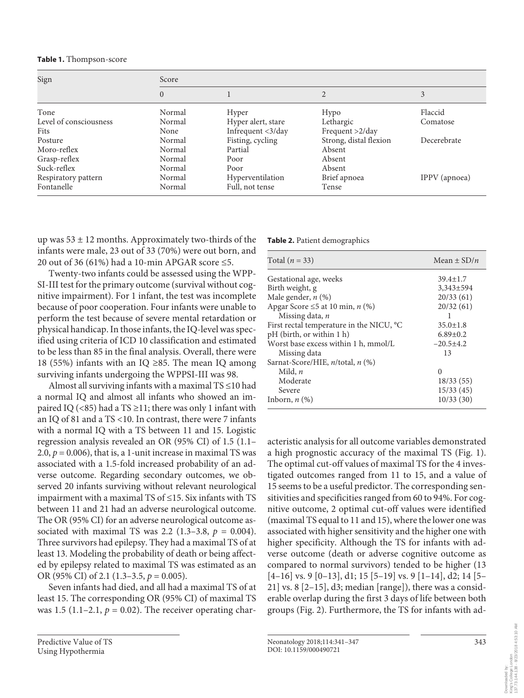| Sign                   | Score          |                    |                        |               |  |
|------------------------|----------------|--------------------|------------------------|---------------|--|
|                        | $\overline{0}$ |                    |                        | 3             |  |
| Tone                   | Normal         | Hyper              | Hypo                   | Flaccid       |  |
| Level of consciousness | Normal         | Hyper alert, stare | Lethargic              | Comatose      |  |
| <b>Fits</b>            | None           | Infrequent <3/day  | Frequent $>2$ /day     |               |  |
| Posture                | Normal         | Fisting, cycling   | Strong, distal flexion | Decerebrate   |  |
| Moro-reflex            | Normal         | Partial            | Absent                 |               |  |
| Grasp-reflex           | Normal         | Poor               | Absent                 |               |  |
| Suck-reflex            | Normal         | Poor               | Absent                 |               |  |
| Respiratory pattern    | Normal         | Hyperventilation   | Brief apnoea           | IPPV (apnoea) |  |
| Fontanelle             | Normal         | Full, not tense    | Tense                  |               |  |

up was  $53 \pm 12$  months. Approximately two-thirds of the infants were male, 23 out of 33 (70%) were out born, and 20 out of 36 (61%) had a 10-min APGAR score ≤5.

Twenty-two infants could be assessed using the WPP-SI-III test for the primary outcome (survival without cognitive impairment). For 1 infant, the test was incomplete because of poor cooperation. Four infants were unable to perform the test because of severe mental retardation or physical handicap. In those infants, the IQ-level was specified using criteria of ICD 10 classification and estimated to be less than 85 in the final analysis. Overall, there were 18 (55%) infants with an IQ ≥85. The mean IQ among surviving infants undergoing the WPPSI-III was 98.

Almost all surviving infants with a maximal TS ≤10 had a normal IQ and almost all infants who showed an impaired IQ (<85) had a TS  $\geq$ 11; there was only 1 infant with an IQ of 81 and a TS <10. In contrast, there were 7 infants with a normal IQ with a TS between 11 and 15. Logistic regression analysis revealed an OR (95% CI) of 1.5 (1.1– 2.0,  $p = 0.006$ ), that is, a 1-unit increase in maximal TS was associated with a 1.5-fold increased probability of an adverse outcome. Regarding secondary outcomes, we observed 20 infants surviving without relevant neurological impairment with a maximal TS of ≤15. Six infants with TS between 11 and 21 had an adverse neurological outcome. The OR (95% CI) for an adverse neurological outcome associated with maximal TS was 2.2 (1.3–3.8,  $p = 0.004$ ). Three survivors had epilepsy. They had a maximal TS of at least 13. Modeling the probability of death or being affected by epilepsy related to maximal TS was estimated as an OR (95% CI) of 2.1 (1.3–3.5, *p* = 0.005).

Seven infants had died, and all had a maximal TS of at least 15. The corresponding OR (95% CI) of maximal TS was 1.5 (1.1–2.1,  $p = 0.02$ ). The receiver operating char-

| Table 2. Patient demographics |  |
|-------------------------------|--|
|-------------------------------|--|

| Total $(n = 33)$                                     | Mean $\pm$ SD/ <i>n</i> |
|------------------------------------------------------|-------------------------|
| Gestational age, weeks                               | $39.4 \pm 1.7$          |
| Birth weight, g                                      | $3.343 \pm 594$         |
| Male gender, $n$ (%)                                 | 20/33(61)               |
| Apgar Score $\leq 5$ at 10 min, n (%)                | 20/32(61)               |
| Missing data, n                                      | 1                       |
| First rectal temperature in the NICU, <sup>o</sup> C | $35.0 \pm 1.8$          |
| pH (birth, or within 1 h)                            | $6.89 \pm 0.2$          |
| Worst base excess within 1 h, mmol/L                 | $-20.5+4.2$             |
| Missing data                                         | 13                      |
| Sarnat-Score/HIE, n/total, n (%)                     |                         |
| Mild, $n$                                            | $\Omega$                |
| Moderate                                             | 18/33(55)               |
| Severe                                               | 15/33(45)               |
| Inborn, $n$ $(\%)$                                   | 10/33(30)               |

acteristic analysis for all outcome variables demonstrated a high prognostic accuracy of the maximal TS (Fig. 1). The optimal cut-off values of maximal TS for the 4 investigated outcomes ranged from 11 to 15, and a value of 15 seems to be a useful predictor. The corresponding sensitivities and specificities ranged from 60 to 94%. For cognitive outcome, 2 optimal cut-off values were identified (maximal TS equal to 11 and 15), where the lower one was associated with higher sensitivity and the higher one with higher specificity. Although the TS for infants with adverse outcome (death or adverse cognitive outcome as compared to normal survivors) tended to be higher (13  $[4–16]$  vs. 9  $[0–13]$ , d1; 15  $[5–19]$  vs. 9  $[1–14]$ , d2; 14  $[5–19]$ 21] vs. 8  $[2-15]$ , d3; median  $[range]$ ), there was a considerable overlap during the first 3 days of life between both groups (Fig. 2). Furthermore, the TS for infants with ad-

e London<br>38 - 8/23/2018 4:53:10 AM 137.73.144.138 - 8/23/2018 4:53:10 AMKing's College London Downloaded by: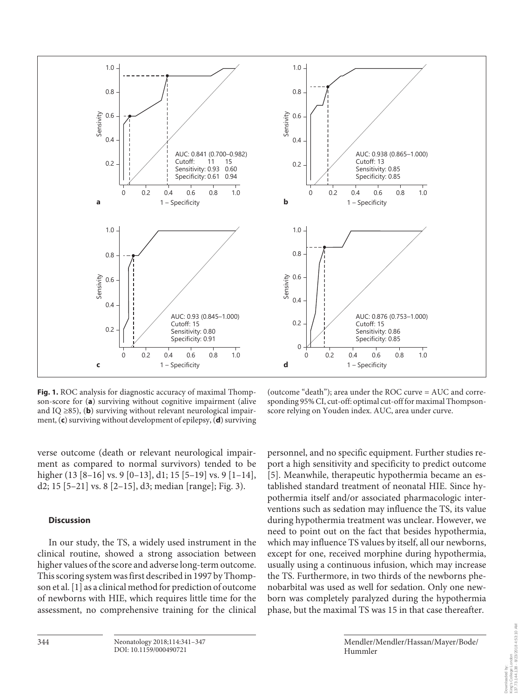

**Fig. 1.** ROC analysis for diagnostic accuracy of maximal Thompson-score for (**a**) surviving without cognitive impairment (alive and IQ ≥85), (**b**) surviving without relevant neurological impairment, (**c**) surviving without development of epilepsy, (**d**) surviving

(outcome "death"); area under the ROC curve = AUC and corresponding 95% CI, cut-off: optimal cut-off for maximal Thompsonscore relying on Youden index. AUC, area under curve.

verse outcome (death or relevant neurological impairment as compared to normal survivors) tended to be higher (13 [8-16] vs. 9 [0-13], d1; 15 [5-19] vs. 9 [1-14], d2; 15 [5–21] vs. 8 [2–15], d3; median [range]; Fig. 3).

#### **Discussion**

In our study, the TS, a widely used instrument in the clinical routine, showed a strong association between higher values of the score and adverse long-term outcome. This scoring system was first described in 1997 by Thompson et al. [1] as a clinical method for prediction of outcome of newborns with HIE, which requires little time for the assessment, no comprehensive training for the clinical personnel, and no specific equipment. Further studies report a high sensitivity and specificity to predict outcome [5]. Meanwhile, therapeutic hypothermia became an established standard treatment of neonatal HIE. Since hypothermia itself and/or associated pharmacologic interventions such as sedation may influence the TS, its value during hypothermia treatment was unclear. However, we need to point out on the fact that besides hypothermia, which may influence TS values by itself, all our newborns, except for one, received morphine during hypothermia, usually using a continuous infusion, which may increase the TS. Furthermore, in two thirds of the newborns phenobarbital was used as well for sedation. Only one newborn was completely paralyzed during the hypothermia phase, but the maximal TS was 15 in that case thereafter.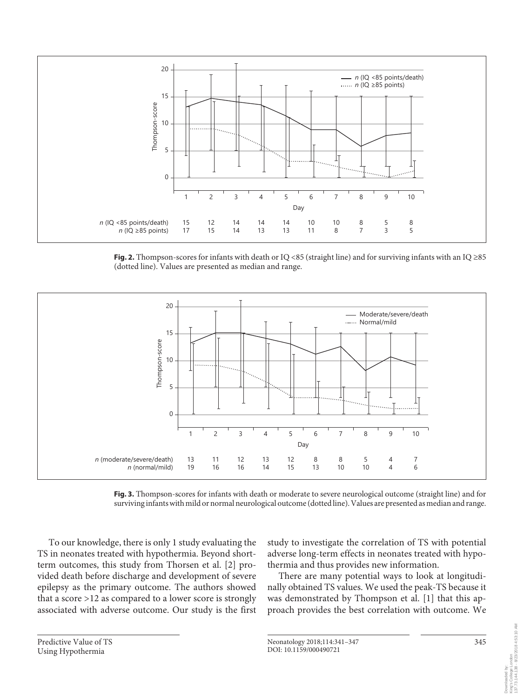

**Fig. 2.** Thompson-scores for infants with death or IQ <85 (straight line) and for surviving infants with an IQ ≥85 (dotted line). Values are presented as median and range.



**Fig. 3.** Thompson-scores for infants with death or moderate to severe neurological outcome (straight line) and for surviving infants with mild or normal neurological outcome (dotted line). Values are presented as median and range.

To our knowledge, there is only 1 study evaluating the TS in neonates treated with hypothermia. Beyond shortterm outcomes, this study from Thorsen et al. [2] provided death before discharge and development of severe epilepsy as the primary outcome. The authors showed that a score >12 as compared to a lower score is strongly associated with adverse outcome. Our study is the first

study to investigate the correlation of TS with potential adverse long-term effects in neonates treated with hypothermia and thus provides new information.

There are many potential ways to look at longitudinally obtained TS values. We used the peak-TS because it was demonstrated by Thompson et al. [1] that this approach provides the best correlation with outcome. We

Neonatology 2018;114:341-347 345 DOI: 10.1159/000490721

Downloaded by: King's College London 137.73.144.138 - 8/23/2018 4:53:10 AM

Downlaaded by:<br>King's College London<br>137.73.144.138 - 8/23/2018 4:53:10 AM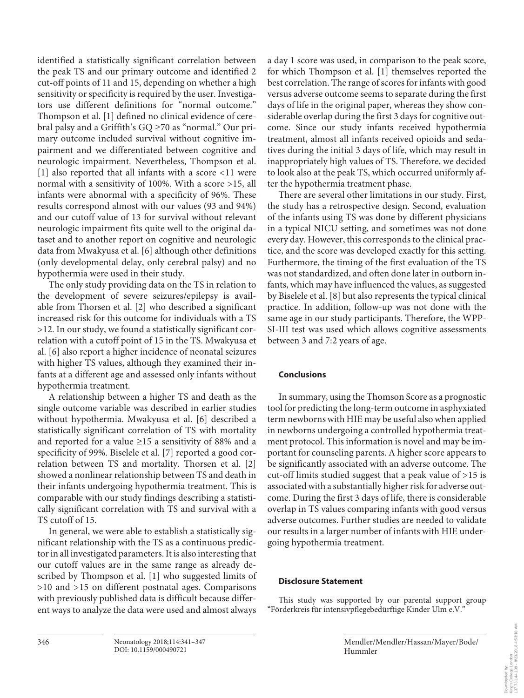identified a statistically significant correlation between the peak TS and our primary outcome and identified 2 cut-off points of 11 and 15, depending on whether a high sensitivity or specificity is required by the user. Investigators use different definitions for "normal outcome." Thompson et al. [1] defined no clinical evidence of cerebral palsy and a Griffith's GQ ≥70 as "normal." Our primary outcome included survival without cognitive impairment and we differentiated between cognitive and neurologic impairment. Nevertheless, Thompson et al. [1] also reported that all infants with a score <11 were normal with a sensitivity of 100%. With a score >15, all infants were abnormal with a specificity of 96%. These results correspond almost with our values (93 and 94%) and our cutoff value of 13 for survival without relevant neurologic impairment fits quite well to the original dataset and to another report on cognitive and neurologic data from Mwakyusa et al. [6] although other definitions (only developmental delay, only cerebral palsy) and no hypothermia were used in their study.

The only study providing data on the TS in relation to the development of severe seizures/epilepsy is available from Thorsen et al. [2] who described a significant increased risk for this outcome for individuals with a TS >12. In our study, we found a statistically significant correlation with a cutoff point of 15 in the TS. Mwakyusa et al. [6] also report a higher incidence of neonatal seizures with higher TS values, although they examined their infants at a different age and assessed only infants without hypothermia treatment.

A relationship between a higher TS and death as the single outcome variable was described in earlier studies without hypothermia. Mwakyusa et al. [6] described a statistically significant correlation of TS with mortality and reported for a value  $\geq$ 15 a sensitivity of 88% and a specificity of 99%. Biselele et al. [7] reported a good correlation between TS and mortality. Thorsen et al. [2] showed a nonlinear relationship between TS and death in their infants undergoing hypothermia treatment. This is comparable with our study findings describing a statistically significant correlation with TS and survival with a TS cutoff of 15.

In general, we were able to establish a statistically significant relationship with the TS as a continuous predictor in all investigated parameters. It is also interesting that our cutoff values are in the same range as already described by Thompson et al. [1] who suggested limits of >10 and >15 on different postnatal ages. Comparisons with previously published data is difficult because different ways to analyze the data were used and almost always

a day 1 score was used, in comparison to the peak score, for which Thompson et al. [1] themselves reported the best correlation. The range of scores for infants with good versus adverse outcome seems to separate during the first days of life in the original paper, whereas they show considerable overlap during the first 3 days for cognitive outcome. Since our study infants received hypothermia treatment, almost all infants received opioids and sedatives during the initial 3 days of life, which may result in inappropriately high values of TS. Therefore, we decided to look also at the peak TS, which occurred uniformly after the hypothermia treatment phase.

There are several other limitations in our study. First, the study has a retrospective design. Second, evaluation of the infants using TS was done by different physicians in a typical NICU setting, and sometimes was not done every day. However, this corresponds to the clinical practice, and the score was developed exactly for this setting. Furthermore, the timing of the first evaluation of the TS was not standardized, and often done later in outborn infants, which may have influenced the values, as suggested by Biselele et al. [8] but also represents the typical clinical practice. In addition, follow-up was not done with the same age in our study participants. Therefore, the WPP-SI-III test was used which allows cognitive assessments between 3 and 7:2 years of age.

#### **Conclusions**

In summary, using the Thomson Score as a prognostic tool for predicting the long-term outcome in asphyxiated term newborns with HIE may be useful also when applied in newborns undergoing a controlled hypothermia treatment protocol. This information is novel and may be important for counseling parents. A higher score appears to be significantly associated with an adverse outcome. The cut-off limits studied suggest that a peak value of >15 is associated with a substantially higher risk for adverse outcome. During the first 3 days of life, there is considerable overlap in TS values comparing infants with good versus adverse outcomes. Further studies are needed to validate our results in a larger number of infants with HIE undergoing hypothermia treatment.

#### **Disclosure Statement**

This study was supported by our parental support group "Förderkreis für intensivpflegebedürftige Kinder Ulm e.V."